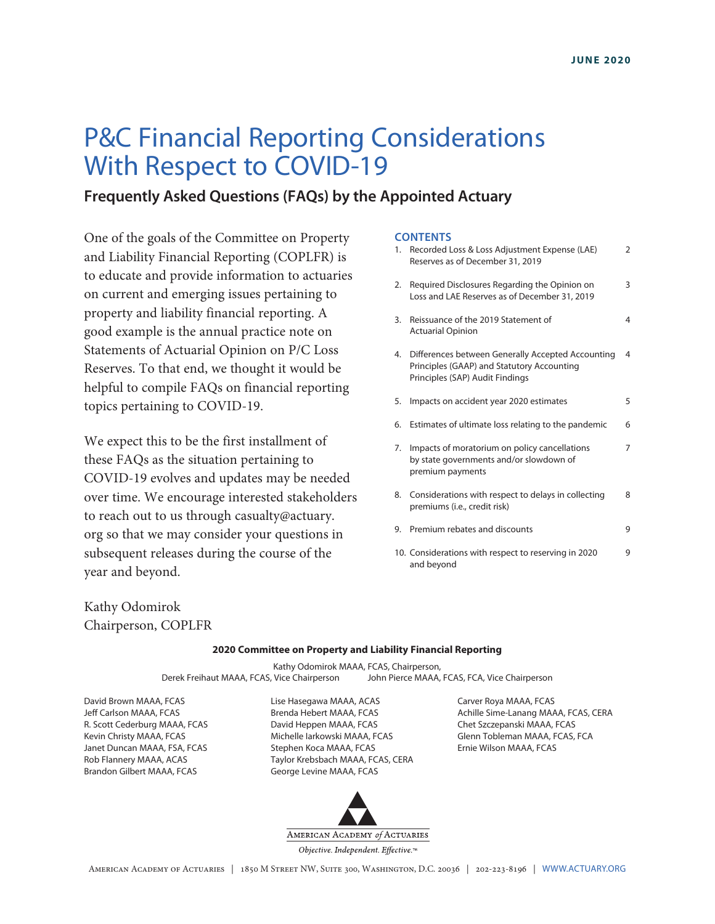# P&C Financial Reporting Considerations With Respect to COVID-19

## **Frequently Asked Questions (FAQs) by the Appointed Actuary**

One of the goals of the Committee on Property and Liability Financial Reporting (COPLFR) is to educate and provide information to actuaries on current and emerging issues pertaining to property and liability financial reporting. A good example is the annual practice note on Statements of Actuarial Opinion on P/C Loss Reserves. To that end, we thought it would be helpful to compile FAQs on financial reporting topics pertaining to COVID-19.

We expect this to be the first installment of these FAQs as the situation pertaining to COVID-19 evolves and updates may be needed over time. We encourage interested stakeholders to reach out to us through casualty@actuary. org so that we may consider your questions in subsequent releases during the course of the year and beyond.

#### **CONTENTS**

| 1. | Recorded Loss & Loss Adjustment Expense (LAE)<br>Reserves as of December 31, 2019                                                  | 2 |
|----|------------------------------------------------------------------------------------------------------------------------------------|---|
| 2. | Required Disclosures Regarding the Opinion on<br>Loss and LAE Reserves as of December 31, 2019                                     | 3 |
| 3. | Reissuance of the 2019 Statement of<br><b>Actuarial Opinion</b>                                                                    | 4 |
| 4. | Differences between Generally Accepted Accounting<br>Principles (GAAP) and Statutory Accounting<br>Principles (SAP) Audit Findings | 4 |
| 5. | Impacts on accident year 2020 estimates                                                                                            | 5 |
| 6. | Estimates of ultimate loss relating to the pandemic                                                                                | 6 |
| 7. | Impacts of moratorium on policy cancellations<br>by state governments and/or slowdown of<br>premium payments                       | 7 |
| 8. | Considerations with respect to delays in collecting<br>premiums (i.e., credit risk)                                                | 8 |
| 9. | Premium rebates and discounts                                                                                                      | 9 |
|    | 10. Considerations with respect to reserving in 2020<br>and beyond                                                                 | 9 |

Kathy Odomirok Chairperson, COPLFR

#### **2020 Committee on Property and Liability Financial Reporting**

Kathy Odomirok MAAA, FCAS, Chairperson, Derek Freihaut MAAA, FCAS, Vice Chairperson John Pierce MAAA, FCAS, FCA, Vice Chairperson

David Brown MAAA, FCAS Jeff Carlson MAAA, FCAS R. Scott Cederburg MAAA, FCAS Kevin Christy MAAA, FCAS Janet Duncan MAAA, FSA, FCAS Rob Flannery MAAA, ACAS Brandon Gilbert MAAA, FCAS

Lise Hasegawa MAAA, ACAS Brenda Hebert MAAA, FCAS David Heppen MAAA, FCAS Michelle Iarkowski MAAA, FCAS Stephen Koca MAAA, FCAS Taylor Krebsbach MAAA, FCAS, CERA George Levine MAAA, FCAS



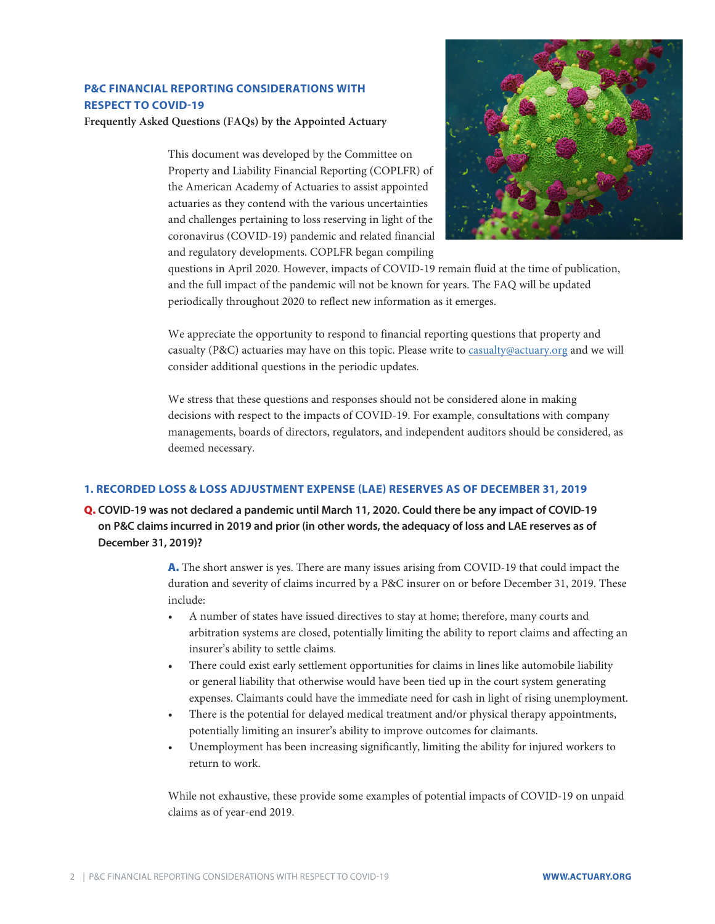## <span id="page-1-0"></span>**P&C FINANCIAL REPORTING CONSIDERATIONS WITH RESPECT TO COVID-19**

**Frequently Asked Questions (FAQs) by the Appointed Actuary**

This document was developed by the Committee on Property and Liability Financial Reporting (COPLFR) of the American Academy of Actuaries to assist appointed actuaries as they contend with the various uncertainties and challenges pertaining to loss reserving in light of the coronavirus (COVID-19) pandemic and related financial and regulatory developments. COPLFR began compiling



questions in April 2020. However, impacts of COVID-19 remain fluid at the time of publication, and the full impact of the pandemic will not be known for years. The FAQ will be updated periodically throughout 2020 to reflect new information as it emerges.

We appreciate the opportunity to respond to financial reporting questions that property and casualty (P&C) actuaries may have on this topic. Please write to [casualty@actuary.org](mailto:casualty@actuary.org) and we will consider additional questions in the periodic updates.

We stress that these questions and responses should not be considered alone in making decisions with respect to the impacts of COVID-19. For example, consultations with company managements, boards of directors, regulators, and independent auditors should be considered, as deemed necessary.

### **1. RECORDED LOSS & LOSS ADJUSTMENT EXPENSE (LAE) RESERVES AS OF DECEMBER 31, 2019**

Q. **COVID-19 was not declared a pandemic until March 11, 2020. Could there be any impact of COVID-19 on P&C claims incurred in 2019 and prior (in other words, the adequacy of loss and LAE reserves as of December 31, 2019)?**

> A. The short answer is yes. There are many issues arising from COVID-19 that could impact the duration and severity of claims incurred by a P&C insurer on or before December 31, 2019. These include:

- A number of states have issued directives to stay at home; therefore, many courts and arbitration systems are closed, potentially limiting the ability to report claims and affecting an insurer's ability to settle claims.
- There could exist early settlement opportunities for claims in lines like automobile liability or general liability that otherwise would have been tied up in the court system generating expenses. Claimants could have the immediate need for cash in light of rising unemployment.
- There is the potential for delayed medical treatment and/or physical therapy appointments, potentially limiting an insurer's ability to improve outcomes for claimants.
- Unemployment has been increasing significantly, limiting the ability for injured workers to return to work.

While not exhaustive, these provide some examples of potential impacts of COVID-19 on unpaid claims as of year-end 2019.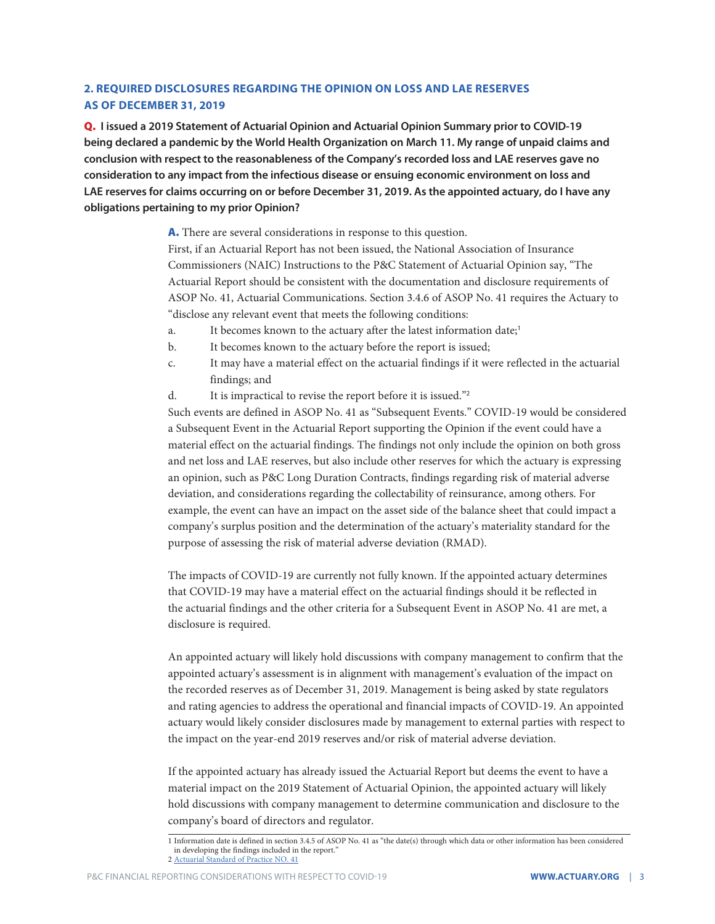## <span id="page-2-0"></span>**2. REQUIRED DISCLOSURES REGARDING THE OPINION ON LOSS AND LAE RESERVES AS OF DECEMBER 31, 2019**

Q. **I issued a 2019 Statement of Actuarial Opinion and Actuarial Opinion Summary prior to COVID-19 being declared a pandemic by the World Health Organization on March 11. My range of unpaid claims and conclusion with respect to the reasonableness of the Company's recorded loss and LAE reserves gave no consideration to any impact from the infectious disease or ensuing economic environment on loss and LAE reserves for claims occurring on or before December 31, 2019. As the appointed actuary, do I have any obligations pertaining to my prior Opinion?**

> A. There are several considerations in response to this question. First, if an Actuarial Report has not been issued, the National Association of Insurance Commissioners (NAIC) Instructions to the P&C Statement of Actuarial Opinion say, "The Actuarial Report should be consistent with the documentation and disclosure requirements of ASOP No. 41, Actuarial Communications. Section 3.4.6 of ASOP No. 41 requires the Actuary to "disclose any relevant event that meets the following conditions:

- a. It becomes known to the actuary after the latest information date;<sup>1</sup>
- b. It becomes known to the actuary before the report is issued;
- c. It may have a material effect on the actuarial findings if it were reflected in the actuarial findings; and
- d. It is impractical to revise the report before it is issued."<sup>2</sup>

Such events are defined in ASOP No. 41 as "Subsequent Events." COVID-19 would be considered a Subsequent Event in the Actuarial Report supporting the Opinion if the event could have a material effect on the actuarial findings. The findings not only include the opinion on both gross and net loss and LAE reserves, but also include other reserves for which the actuary is expressing an opinion, such as P&C Long Duration Contracts, findings regarding risk of material adverse deviation, and considerations regarding the collectability of reinsurance, among others. For example, the event can have an impact on the asset side of the balance sheet that could impact a company's surplus position and the determination of the actuary's materiality standard for the purpose of assessing the risk of material adverse deviation (RMAD).

The impacts of COVID-19 are currently not fully known. If the appointed actuary determines that COVID-19 may have a material effect on the actuarial findings should it be reflected in the actuarial findings and the other criteria for a Subsequent Event in ASOP No. 41 are met, a disclosure is required.

An appointed actuary will likely hold discussions with company management to confirm that the appointed actuary's assessment is in alignment with management's evaluation of the impact on the recorded reserves as of December 31, 2019. Management is being asked by state regulators and rating agencies to address the operational and financial impacts of COVID-19. An appointed actuary would likely consider disclosures made by management to external parties with respect to the impact on the year-end 2019 reserves and/or risk of material adverse deviation.

If the appointed actuary has already issued the Actuarial Report but deems the event to have a material impact on the 2019 Statement of Actuarial Opinion, the appointed actuary will likely hold discussions with company management to determine communication and disclosure to the company's board of directors and regulator.

<sup>1</sup> Information date is defined in section 3.4.5 of ASOP No. 41 as "the date(s) through which data or other information has been considered in developing the findings included in the report."

<sup>2</sup> Actuarial Standard of Practice NO. 41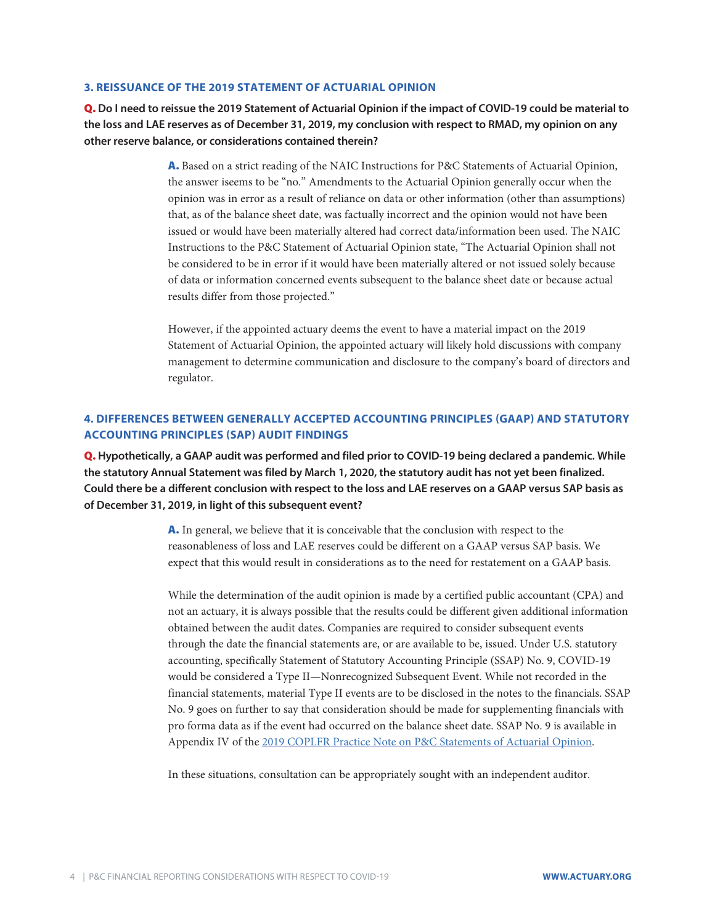#### <span id="page-3-0"></span>**3. REISSUANCE OF THE 2019 STATEMENT OF ACTUARIAL OPINION**

Q. **Do I need to reissue the 2019 Statement of Actuarial Opinion if the impact of COVID-19 could be material to the loss and LAE reserves as of December 31, 2019, my conclusion with respect to RMAD, my opinion on any other reserve balance, or considerations contained therein?**

> A. Based on a strict reading of the NAIC Instructions for P&C Statements of Actuarial Opinion, the answer iseems to be "no." Amendments to the Actuarial Opinion generally occur when the opinion was in error as a result of reliance on data or other information (other than assumptions) that, as of the balance sheet date, was factually incorrect and the opinion would not have been issued or would have been materially altered had correct data/information been used. The NAIC Instructions to the P&C Statement of Actuarial Opinion state, "The Actuarial Opinion shall not be considered to be in error if it would have been materially altered or not issued solely because of data or information concerned events subsequent to the balance sheet date or because actual results differ from those projected."

> However, if the appointed actuary deems the event to have a material impact on the 2019 Statement of Actuarial Opinion, the appointed actuary will likely hold discussions with company management to determine communication and disclosure to the company's board of directors and regulator.

## **4. DIFFERENCES BETWEEN GENERALLY ACCEPTED ACCOUNTING PRINCIPLES (GAAP) AND STATUTORY ACCOUNTING PRINCIPLES (SAP) AUDIT FINDINGS**

Q. **Hypothetically, a GAAP audit was performed and filed prior to COVID-19 being declared a pandemic. While the statutory Annual Statement was filed by March 1, 2020, the statutory audit has not yet been finalized. Could there be a different conclusion with respect to the loss and LAE reserves on a GAAP versus SAP basis as of December 31, 2019, in light of this subsequent event?**

> A. In general, we believe that it is conceivable that the conclusion with respect to the reasonableness of loss and LAE reserves could be different on a GAAP versus SAP basis. We expect that this would result in considerations as to the need for restatement on a GAAP basis.

While the determination of the audit opinion is made by a certified public accountant (CPA) and not an actuary, it is always possible that the results could be different given additional information obtained between the audit dates. Companies are required to consider subsequent events through the date the financial statements are, or are available to be, issued. Under U.S. statutory accounting, specifically Statement of Statutory Accounting Principle (SSAP) No. 9, COVID-19 would be considered a Type II—Nonrecognized Subsequent Event. While not recorded in the financial statements, material Type II events are to be disclosed in the notes to the financials. SSAP No. 9 goes on further to say that consideration should be made for supplementing financials with pro forma data as if the event had occurred on the balance sheet date. SSAP No. 9 is available in Appendix IV of the [2019 COPLFR Practice Note on P&C Statements of Actuarial Opinion.](https://www.actuary.org/sites/default/files/2020-01/PC_Practice_Note_2019.pdf)

In these situations, consultation can be appropriately sought with an independent auditor.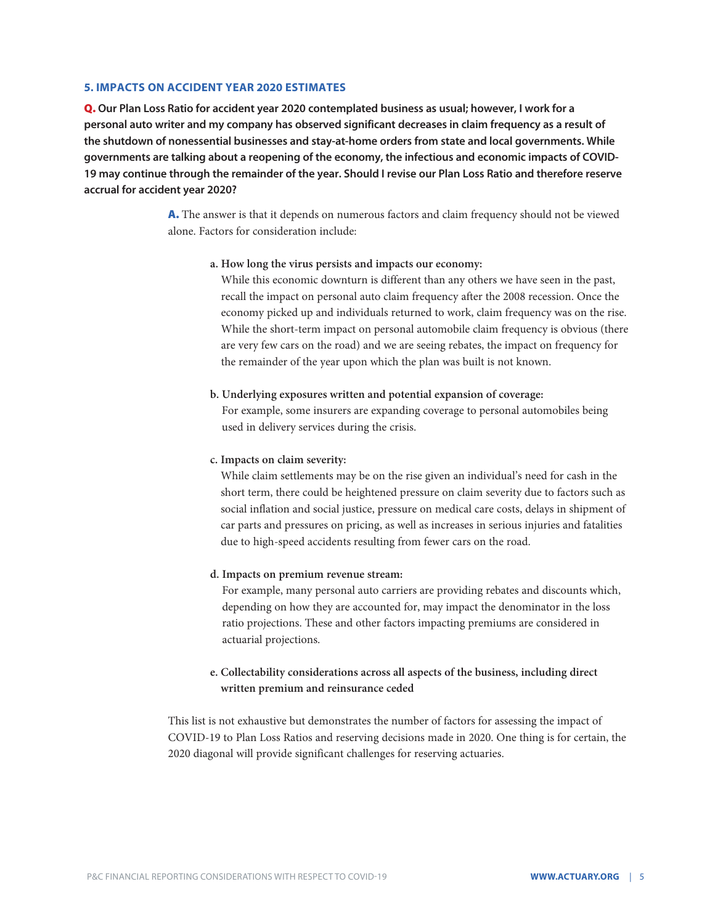#### <span id="page-4-0"></span>**5. IMPACTS ON ACCIDENT YEAR 2020 ESTIMATES**

Q. **Our Plan Loss Ratio for accident year 2020 contemplated business as usual; however, I work for a personal auto writer and my company has observed significant decreases in claim frequency as a result of the shutdown of nonessential businesses and stay-at-home orders from state and local governments. While governments are talking about a reopening of the economy, the infectious and economic impacts of COVID-19 may continue through the remainder of the year. Should I revise our Plan Loss Ratio and therefore reserve accrual for accident year 2020?**

> A. The answer is that it depends on numerous factors and claim frequency should not be viewed alone. Factors for consideration include:

#### **a. How long the virus persists and impacts our economy:**

While this economic downturn is different than any others we have seen in the past, recall the impact on personal auto claim frequency after the 2008 recession. Once the economy picked up and individuals returned to work, claim frequency was on the rise. While the short-term impact on personal automobile claim frequency is obvious (there are very few cars on the road) and we are seeing rebates, the impact on frequency for the remainder of the year upon which the plan was built is not known.

#### **b. Underlying exposures written and potential expansion of coverage:**

For example, some insurers are expanding coverage to personal automobiles being used in delivery services during the crisis.

#### **c. Impacts on claim severity:**

While claim settlements may be on the rise given an individual's need for cash in the short term, there could be heightened pressure on claim severity due to factors such as social inflation and social justice, pressure on medical care costs, delays in shipment of car parts and pressures on pricing, as well as increases in serious injuries and fatalities due to high-speed accidents resulting from fewer cars on the road.

#### **d. Impacts on premium revenue stream:**

For example, many personal auto carriers are providing rebates and discounts which, depending on how they are accounted for, may impact the denominator in the loss ratio projections. These and other factors impacting premiums are considered in actuarial projections.

## **e. Collectability considerations across all aspects of the business, including direct written premium and reinsurance ceded**

This list is not exhaustive but demonstrates the number of factors for assessing the impact of COVID-19 to Plan Loss Ratios and reserving decisions made in 2020. One thing is for certain, the 2020 diagonal will provide significant challenges for reserving actuaries.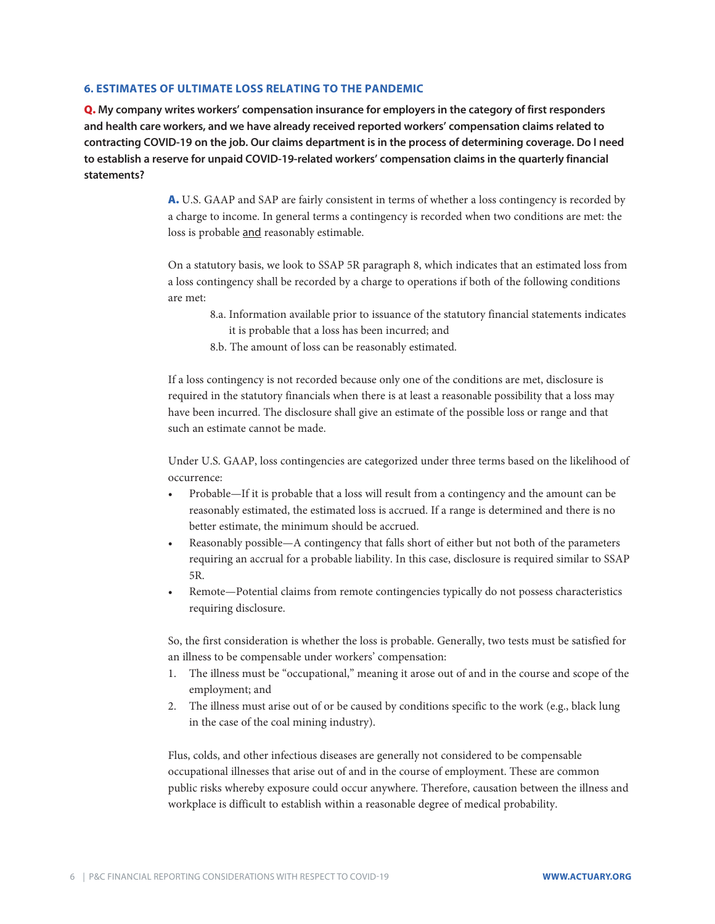#### <span id="page-5-0"></span>**6. ESTIMATES OF ULTIMATE LOSS RELATING TO THE PANDEMIC**

Q. **My company writes workers' compensation insurance for employers in the category of first responders and health care workers, and we have already received reported workers' compensation claims related to contracting COVID-19 on the job. Our claims department is in the process of determining coverage. Do I need to establish a reserve for unpaid COVID-19-related workers' compensation claims in the quarterly financial statements?** 

> A. U.S. GAAP and SAP are fairly consistent in terms of whether a loss contingency is recorded by a charge to income. In general terms a contingency is recorded when two conditions are met: the loss is probable and reasonably estimable.

> On a statutory basis, we look to SSAP 5R paragraph 8, which indicates that an estimated loss from a loss contingency shall be recorded by a charge to operations if both of the following conditions are met:

- 8.a. Information available prior to issuance of the statutory financial statements indicates it is probable that a loss has been incurred; and
- 8.b. The amount of loss can be reasonably estimated.

If a loss contingency is not recorded because only one of the conditions are met, disclosure is required in the statutory financials when there is at least a reasonable possibility that a loss may have been incurred. The disclosure shall give an estimate of the possible loss or range and that such an estimate cannot be made.

Under U.S. GAAP, loss contingencies are categorized under three terms based on the likelihood of occurrence:

- Probable—If it is probable that a loss will result from a contingency and the amount can be reasonably estimated, the estimated loss is accrued. If a range is determined and there is no better estimate, the minimum should be accrued.
- Reasonably possible—A contingency that falls short of either but not both of the parameters requiring an accrual for a probable liability. In this case, disclosure is required similar to SSAP 5R.
- Remote—Potential claims from remote contingencies typically do not possess characteristics requiring disclosure.

So, the first consideration is whether the loss is probable. Generally, two tests must be satisfied for an illness to be compensable under workers' compensation:

- 1. The illness must be "occupational," meaning it arose out of and in the course and scope of the employment; and
- 2. The illness must arise out of or be caused by conditions specific to the work (e.g., black lung in the case of the coal mining industry).

Flus, colds, and other infectious diseases are generally not considered to be compensable occupational illnesses that arise out of and in the course of employment. These are common public risks whereby exposure could occur anywhere. Therefore, causation between the illness and workplace is difficult to establish within a reasonable degree of medical probability.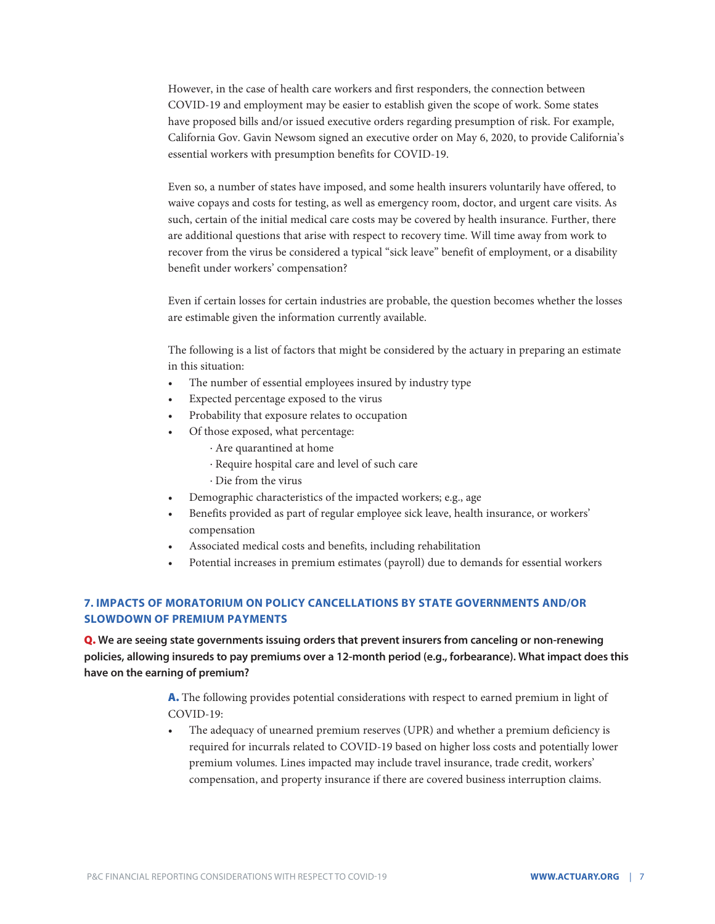<span id="page-6-0"></span>However, in the case of health care workers and first responders, the connection between COVID-19 and employment may be easier to establish given the scope of work. Some states have proposed bills and/or issued executive orders regarding presumption of risk. For example, California Gov. Gavin Newsom signed an executive order on May 6, 2020, to provide California's essential workers with presumption benefits for COVID-19.

Even so, a number of states have imposed, and some health insurers voluntarily have offered, to waive copays and costs for testing, as well as emergency room, doctor, and urgent care visits. As such, certain of the initial medical care costs may be covered by health insurance. Further, there are additional questions that arise with respect to recovery time. Will time away from work to recover from the virus be considered a typical "sick leave" benefit of employment, or a disability benefit under workers' compensation?

Even if certain losses for certain industries are probable, the question becomes whether the losses are estimable given the information currently available.

The following is a list of factors that might be considered by the actuary in preparing an estimate in this situation:

- The number of essential employees insured by industry type
- Expected percentage exposed to the virus
- Probability that exposure relates to occupation
- Of those exposed, what percentage:
	- ∙ Are quarantined at home
	- ∙ Require hospital care and level of such care
	- ∙ Die from the virus
- Demographic characteristics of the impacted workers; e.g., age
- Benefits provided as part of regular employee sick leave, health insurance, or workers' compensation
- Associated medical costs and benefits, including rehabilitation
- Potential increases in premium estimates (payroll) due to demands for essential workers

## **7. IMPACTS OF MORATORIUM ON POLICY CANCELLATIONS BY STATE GOVERNMENTS AND/OR SLOWDOWN OF PREMIUM PAYMENTS**

Q. **We are seeing state governments issuing orders that prevent insurers from canceling or non-renewing policies, allowing insureds to pay premiums over a 12-month period (e.g., forbearance). What impact does this have on the earning of premium?**

> A. The following provides potential considerations with respect to earned premium in light of COVID-19:

• The adequacy of unearned premium reserves (UPR) and whether a premium deficiency is required for incurrals related to COVID-19 based on higher loss costs and potentially lower premium volumes. Lines impacted may include travel insurance, trade credit, workers' compensation, and property insurance if there are covered business interruption claims.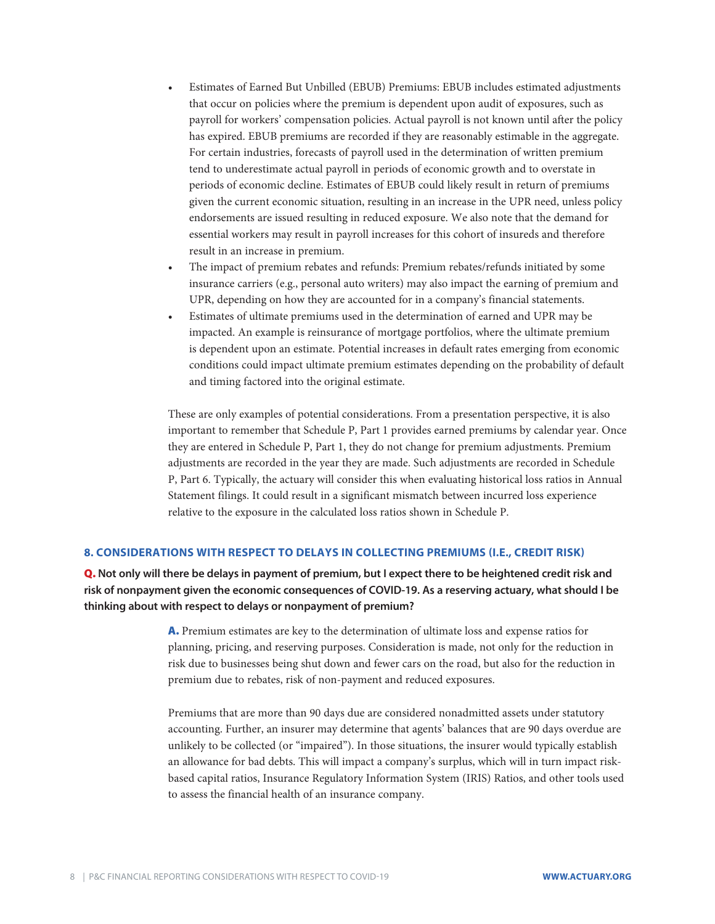- <span id="page-7-0"></span>• Estimates of Earned But Unbilled (EBUB) Premiums: EBUB includes estimated adjustments that occur on policies where the premium is dependent upon audit of exposures, such as payroll for workers' compensation policies. Actual payroll is not known until after the policy has expired. EBUB premiums are recorded if they are reasonably estimable in the aggregate. For certain industries, forecasts of payroll used in the determination of written premium tend to underestimate actual payroll in periods of economic growth and to overstate in periods of economic decline. Estimates of EBUB could likely result in return of premiums given the current economic situation, resulting in an increase in the UPR need, unless policy endorsements are issued resulting in reduced exposure. We also note that the demand for essential workers may result in payroll increases for this cohort of insureds and therefore result in an increase in premium.
- The impact of premium rebates and refunds: Premium rebates/refunds initiated by some insurance carriers (e.g., personal auto writers) may also impact the earning of premium and UPR, depending on how they are accounted for in a company's financial statements.
- Estimates of ultimate premiums used in the determination of earned and UPR may be impacted. An example is reinsurance of mortgage portfolios, where the ultimate premium is dependent upon an estimate. Potential increases in default rates emerging from economic conditions could impact ultimate premium estimates depending on the probability of default and timing factored into the original estimate.

These are only examples of potential considerations. From a presentation perspective, it is also important to remember that Schedule P, Part 1 provides earned premiums by calendar year. Once they are entered in Schedule P, Part 1, they do not change for premium adjustments. Premium adjustments are recorded in the year they are made. Such adjustments are recorded in Schedule P, Part 6. Typically, the actuary will consider this when evaluating historical loss ratios in Annual Statement filings. It could result in a significant mismatch between incurred loss experience relative to the exposure in the calculated loss ratios shown in Schedule P.

#### **8. CONSIDERATIONS WITH RESPECT TO DELAYS IN COLLECTING PREMIUMS (I.E., CREDIT RISK)**

Q. **Not only will there be delays in payment of premium, but I expect there to be heightened credit risk and risk of nonpayment given the economic consequences of COVID-19. As a reserving actuary, what should I be thinking about with respect to delays or nonpayment of premium?** 

> A. Premium estimates are key to the determination of ultimate loss and expense ratios for planning, pricing, and reserving purposes. Consideration is made, not only for the reduction in risk due to businesses being shut down and fewer cars on the road, but also for the reduction in premium due to rebates, risk of non-payment and reduced exposures.

Premiums that are more than 90 days due are considered nonadmitted assets under statutory accounting. Further, an insurer may determine that agents' balances that are 90 days overdue are unlikely to be collected (or "impaired"). In those situations, the insurer would typically establish an allowance for bad debts. This will impact a company's surplus, which will in turn impact riskbased capital ratios, Insurance Regulatory Information System (IRIS) Ratios, and other tools used to assess the financial health of an insurance company.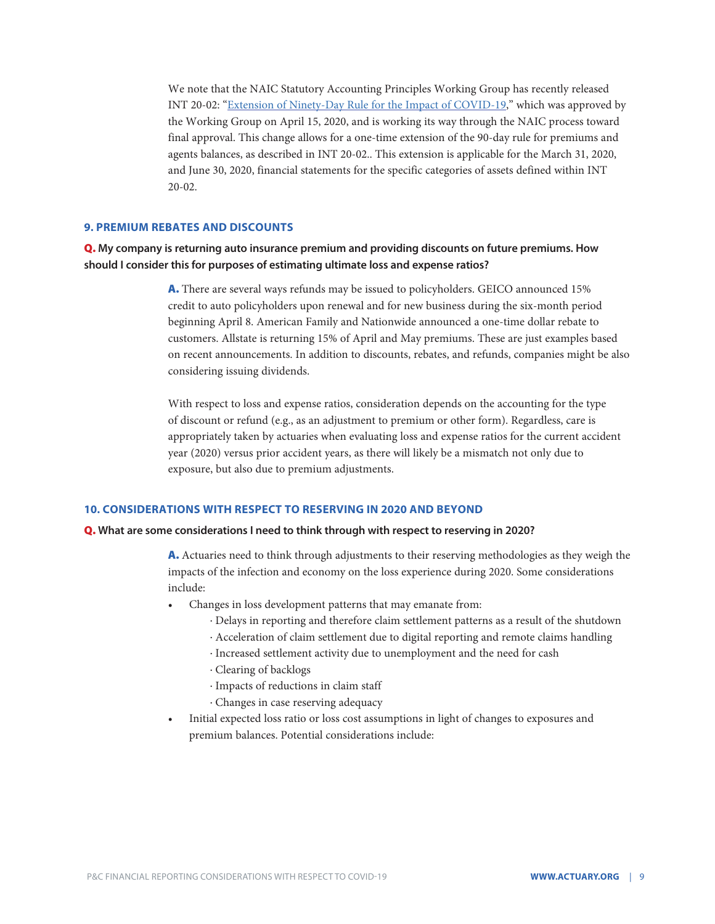<span id="page-8-0"></span>We note that the NAIC Statutory Accounting Principles Working Group has recently released INT 20-02: "[Extension of Ninety-Day Rule for the Impact of COVID-19,](https://content.naic.org/sites/default/files/inline-files/INT%2020-02%20-%20Extend%2090%20Day%20Rule%20for%20Covid-19.pdf)" which was approved by the Working Group on April 15, 2020, and is working its way through the NAIC process toward final approval. This change allows for a one-time extension of the 90-day rule for premiums and agents balances, as described in INT 20-02.. This extension is applicable for the March 31, 2020, and June 30, 2020, financial statements for the specific categories of assets defined within INT 20-02.

#### **9. PREMIUM REBATES AND DISCOUNTS**

Q. **My company is returning auto insurance premium and providing discounts on future premiums. How should I consider this for purposes of estimating ultimate loss and expense ratios?** 

> A. There are several ways refunds may be issued to policyholders. GEICO announced 15% credit to auto policyholders upon renewal and for new business during the six-month period beginning April 8. American Family and Nationwide announced a one-time dollar rebate to customers. Allstate is returning 15% of April and May premiums. These are just examples based on recent announcements. In addition to discounts, rebates, and refunds, companies might be also considering issuing dividends.

With respect to loss and expense ratios, consideration depends on the accounting for the type of discount or refund (e.g., as an adjustment to premium or other form). Regardless, care is appropriately taken by actuaries when evaluating loss and expense ratios for the current accident year (2020) versus prior accident years, as there will likely be a mismatch not only due to exposure, but also due to premium adjustments.

#### **10. CONSIDERATIONS WITH RESPECT TO RESERVING IN 2020 AND BEYOND**

#### Q. **What are some considerations I need to think through with respect to reserving in 2020?**

A. Actuaries need to think through adjustments to their reserving methodologies as they weigh the impacts of the infection and economy on the loss experience during 2020. Some considerations include:

- Changes in loss development patterns that may emanate from:
	- ∙ Delays in reporting and therefore claim settlement patterns as a result of the shutdown
	- ∙ Acceleration of claim settlement due to digital reporting and remote claims handling
	- ∙ Increased settlement activity due to unemployment and the need for cash
	- ∙ Clearing of backlogs
	- ∙ Impacts of reductions in claim staff
	- ∙ Changes in case reserving adequacy
- Initial expected loss ratio or loss cost assumptions in light of changes to exposures and premium balances. Potential considerations include: